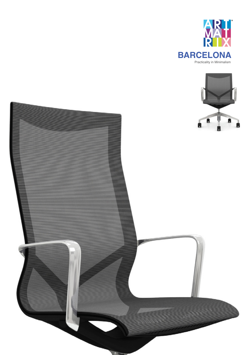



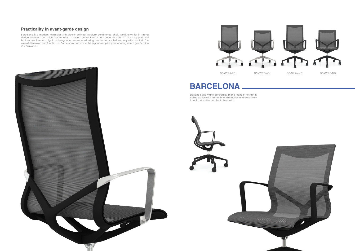

Barcelona is a modern minimalist with clearly defined structure conference chair, well-known for its strong design elements and high functionality. L-shaped armrests attached perfectly with "Y" back support and bottom structure for a light and elegance presence, allowing one to be cradled securely with comfort. The overall dimension and functions of Barcelona conforms to the ergonomic principles, offering instant gratification in workplace.



# **BARCELONA**

# **Practicality in avant-garde design**

Designed and manufactured by Zhong Meng of Foshan in collaboration with Artmatrix for distribution and exclusively in India, Mauritius and South East Asia.